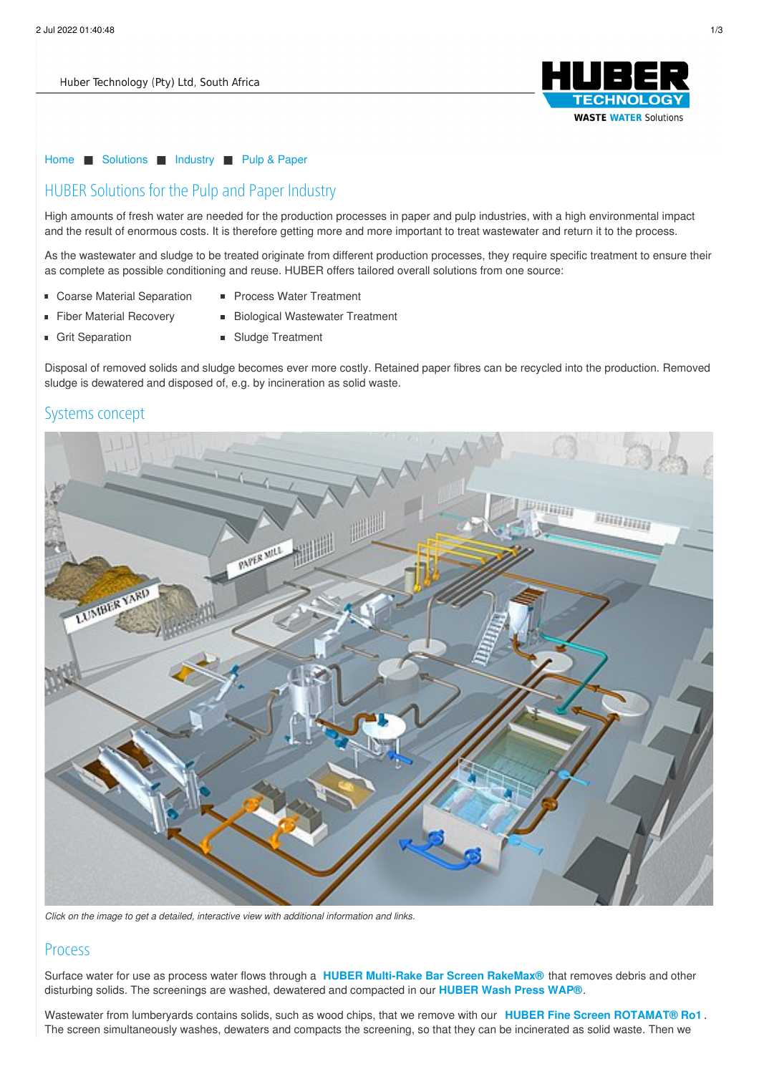

#### [Home](/) ■ [Solutions](/solutions.html) ■ [Industry](/solutions/industry.html) ■ Pulp & [Paper](/solutions/industry/pulp-paper.html)

# HUBER Solutions for the Pulp and Paper Industry

High amounts of fresh water are needed for the production processes in paper and pulp industries, with a high environmental impact and the result of enormous costs. It is therefore getting more and more important to treat wastewater and return it to the process.

As the wastewater and sludge to be treated originate from different production processes, they require specific treatment to ensure their as complete as possible conditioning and reuse. HUBER offers tailored overall solutions from one source:

- **Coarse Material Separation**
- Process Water Treatment
- **Fiber Material Recovery**
- Biological Wastewater Treatment
- **Grit Separation**
- **Sludge Treatment**

Disposal of removed solids and sludge becomes ever more costly. Retained paper fibres can be recycled into the production. Removed sludge is dewatered and disposed of, e.g. by incineration as solid waste.

## Systems concept



*Click on the image to get a detailed, interactive view with additional information and links.*

## Process

Surface water for use as process water flows through a **HUBER Multi-Rake Bar Screen [RakeMax®](http://www.hubersa.com/products/screens-and-fine-screens/perforated-plate-and-bar-screens/huber-multi-rake-bar-screen-rakemaxr.html)** that removes debris and other disturbing solids. The screenings are washed, dewatered and compacted in our **[HUBER](http://www.hubersa.com/products/screenings-treatment/screenings-wash-press-wapr.html) Wash Press WAP®**.

Wastewater from lumberyards contains solids, such as wood chips, that we remove with our **HUBER Fine Screen [ROTAMAT®](http://www.hubersa.com/products/screens-and-fine-screens/rotamatr-screens/huber-fine-screen-rotamatr-ro1.html) Ro1** . The screen simultaneously washes, dewaters and compacts the screening, so that they can be incinerated as solid waste. Then we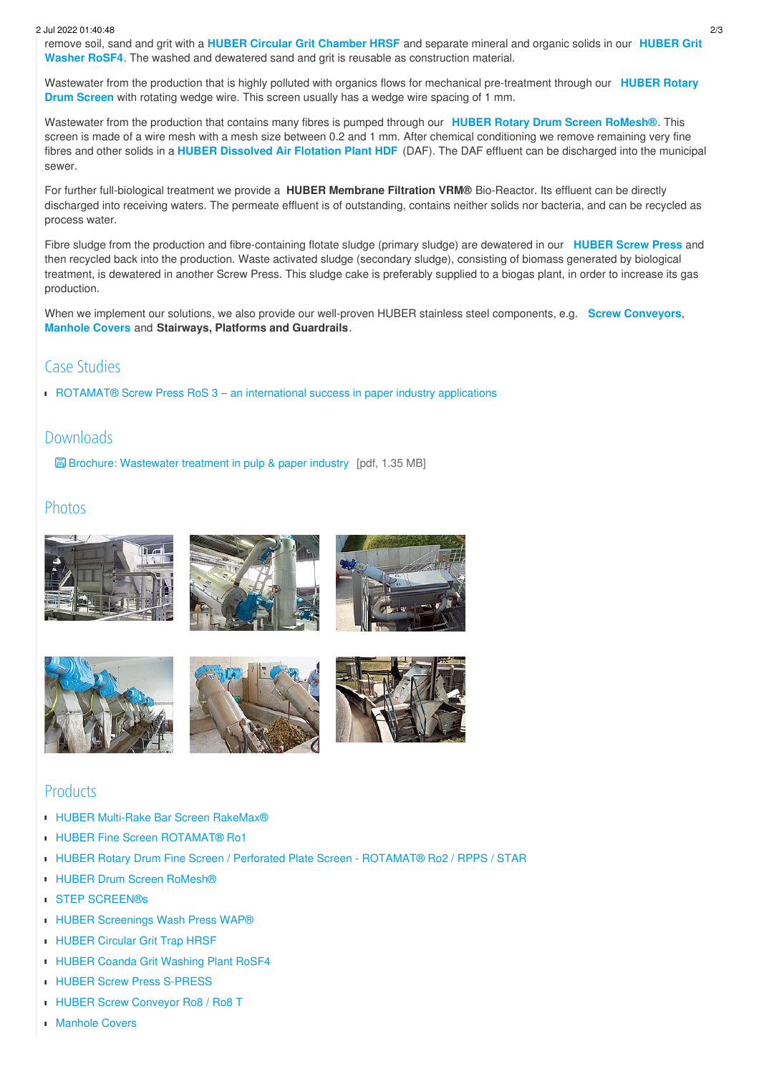#### 2 Jul 2022 01:40:48 2/3

remove soil, sand and grit with a **HUBER Circular Grit [Chamber](http://www.hubersa.com/products/grit-separation-and-treatment/circular-grit-traps/huber-circular-grit-trap-hrsf.html) HRSF** and separate mineral and organic solids in our **HUBER Grit Washer RoSF4**. The washed and dewatered sand and grit is reusable as [construction](http://www.hubersa.com/products/grit-separation-and-treatment/grit-washing-plants/huber-coanda-grit-washing-plant-rosf4.html) material.

Wastewater from the production that is highly polluted with organics flows for mechanical [pre-treatment](http://www.hubersa.com/products/screens-and-fine-screens/rotamatr-screens/huber-rotary-drum-fine-screen-perforated-plate-screen-rotamatr-ro2-rpps-star.html) through our **HUBER Rotary Drum Screen** with rotating wedge wire. This screen usually has a wedge wire spacing of 1 mm.

Wastewater from the production that contains many fibres is pumped through our **HUBER Rotary Drum Screen [RoMesh®](http://www.hubersa.com/products/screens-and-fine-screens/ultra-fine-screens/huber-drum-screen-romeshr.html)**. This screen is made of a wire mesh with a mesh size between 0.2 and 1 mm. After chemical conditioning we remove remaining very fine fibres and other solids in a **HUBER [Dissolved](http://www.hubersa.com/products/flotation/dissolved-air-flotation.html) Air Flotation Plant HDF** (DAF). The DAF effluent can be discharged into the municipal sewer.

For further full-biological treatment we provide a **HUBER Membrane Filtration VRM®** Bio-Reactor. Its effluent can be directly discharged into receiving waters. The permeate effluent is of outstanding, contains neither solids nor bacteria, and can be recycled as process water.

Fibre sludge from the production and fibre-containing flotate sludge (primary sludge) are dewatered in our **[HUBER](http://www.hubersa.com/products/sludge-treatment/sludge-dewatering/huber-screw-press-s-press.html) Screw Press** and then recycled back into the production. Waste activated sludge (secondary sludge), consisting of biomass generated by biological treatment, is dewatered in another Screw Press. This sludge cake is preferably supplied to a biogas plant, in order to increase its gas production.

When we implement our solutions, we also provide our well-proven HUBER stainless steel components, e.g. **Screw [Conveyors](http://www.hubersa.com/products/screenings-treatment/huber-screw-conveyor-ro8-ro8-t.html)**, **[Manhole](http://www.hubersa.com/products/stainless-steel-equipment/manhole-equipment/manhole-covers.html) Covers** and **Stairways, Platforms and Guardrails**.

# Case Studies

■ [ROTAMAT®](/huber-report/ablage-berichte/industry/rotamatr-screw-press-ros-3-an-international-success-in-paper-industry-applications.html?L=0) Screw Press RoS 3 – an international success in paper industry applications

#### Downloads

Brochure: [Wastewater](/fileadmin/02_solutions/05_industry/04_paper/pro_papier_en.pdf) treatment in pulp & paper industry [pdf, 1.35 MB]

## Photos



# Products

- HUBER Multi-Rake Bar Screen [RakeMax®](/products/screens-and-fine-screens/perforated-plate-and-bar-screens/huber-multi-rake-bar-screen-rakemaxr.html?L=0)
- **HUBER Fine Screen [ROTAMAT®](/products/screens-and-fine-screens/rotamatr-screens/huber-fine-screen-rotamatr-ro1.html?L=0) Ro1**
- HUBER Rotary Drum Fine Screen / Perforated Plate Screen [ROTAMAT®](/products/screens-and-fine-screens/rotamatr-screens/huber-rotary-drum-fine-screen-perforated-plate-screen-rotamatr-ro2-rpps-star.html?L=0) Ro2 / RPPS / STAR
- **HUBER Drum Screen [RoMesh®](/products/screens-and-fine-screens/ultra-fine-screens/huber-drum-screen-romeshr.html?L=0)**
- STEP [SCREEN®s](/products/screens-and-fine-screens/step-screenrs.html?L=0)
- **HUBER [Screenings](/products/screenings-treatment/screenings-wash-press-wapr.html?L=0) Wash Press WAP®**
- **[HUBER](/products/grit-separation-and-treatment/circular-grit-traps/huber-circular-grit-trap-hrsf.html?L=0) Circular Grit Trap HRSF**
- **HUBER Coanda Grit [Washing](/products/grit-separation-and-treatment/grit-washing-plants/huber-coanda-grit-washing-plant-rosf4.html?L=0) Plant RoSF4**
- **HUBER Screw Press [S-PRESS](/products/sludge-treatment/sludge-dewatering/huber-screw-press-s-press.html?L=0)**
- **HUBER Screw Convevor Ro8 / Ro8 T**
- **[Manhole](/products/stainless-steel-equipment/manhole-equipment/manhole-covers.html?L=0) Covers**